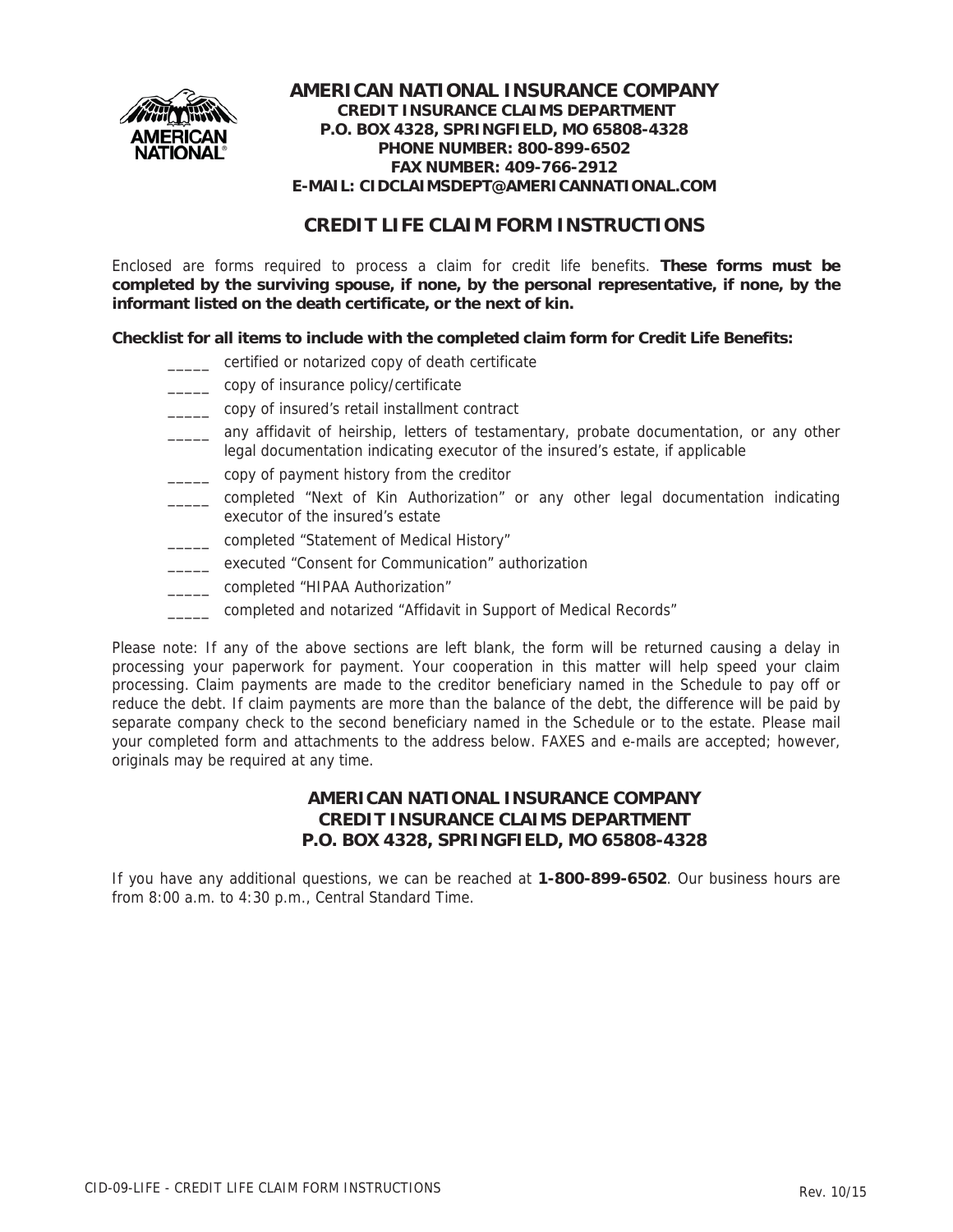

## **CREDIT LIFE CLAIM FORM INSTRUCTIONS**

Enclosed are forms required to process a claim for credit life benefits. **These forms must be completed by the surviving spouse, if none, by the personal representative, if none, by the informant listed on the death certificate, or the next of kin.**

**Checklist for all items to include with the completed claim form for Credit Life Benefits:**

- \_\_\_\_\_ certified or notarized copy of death certificate
- \_\_\_\_\_ copy of insurance policy/certificate
- \_\_\_\_\_ copy of insured's retail installment contract
- \_\_\_\_\_ any affidavit of heirship, letters of testamentary, probate documentation, or any other legal documentation indicating executor of the insured's estate, if applicable
- \_\_\_\_\_ copy of payment history from the creditor
- \_\_\_\_\_ completed "Next of Kin Authorization" or any other legal documentation indicating executor of the insured's estate
- \_\_\_\_\_ completed "Statement of Medical History"
- \_\_\_\_\_ executed "Consent for Communication" authorization
- \_\_\_\_\_ completed "HIPAA Authorization"
- \_\_\_\_\_ completed and notarized "Affidavit in Support of Medical Records"

Please note: If any of the above sections are left blank, the form will be returned causing a delay in processing your paperwork for payment. Your cooperation in this matter will help speed your claim processing. Claim payments are made to the creditor beneficiary named in the Schedule to pay off or reduce the debt. If claim payments are more than the balance of the debt, the difference will be paid by separate company check to the second beneficiary named in the Schedule or to the estate. Please mail your completed form and attachments to the address below. FAXES and e-mails are accepted; however, originals may be required at any time.

### **AMERICAN NATIONAL INSURANCE COMPANY CREDIT INSURANCE CLAIMS DEPARTMENT P.O. BOX 4328, SPRINGFIELD, MO 65808-4328**

If you have any additional questions, we can be reached at **1-800-899-6502**. Our business hours are from 8:00 a.m. to 4:30 p.m., Central Standard Time.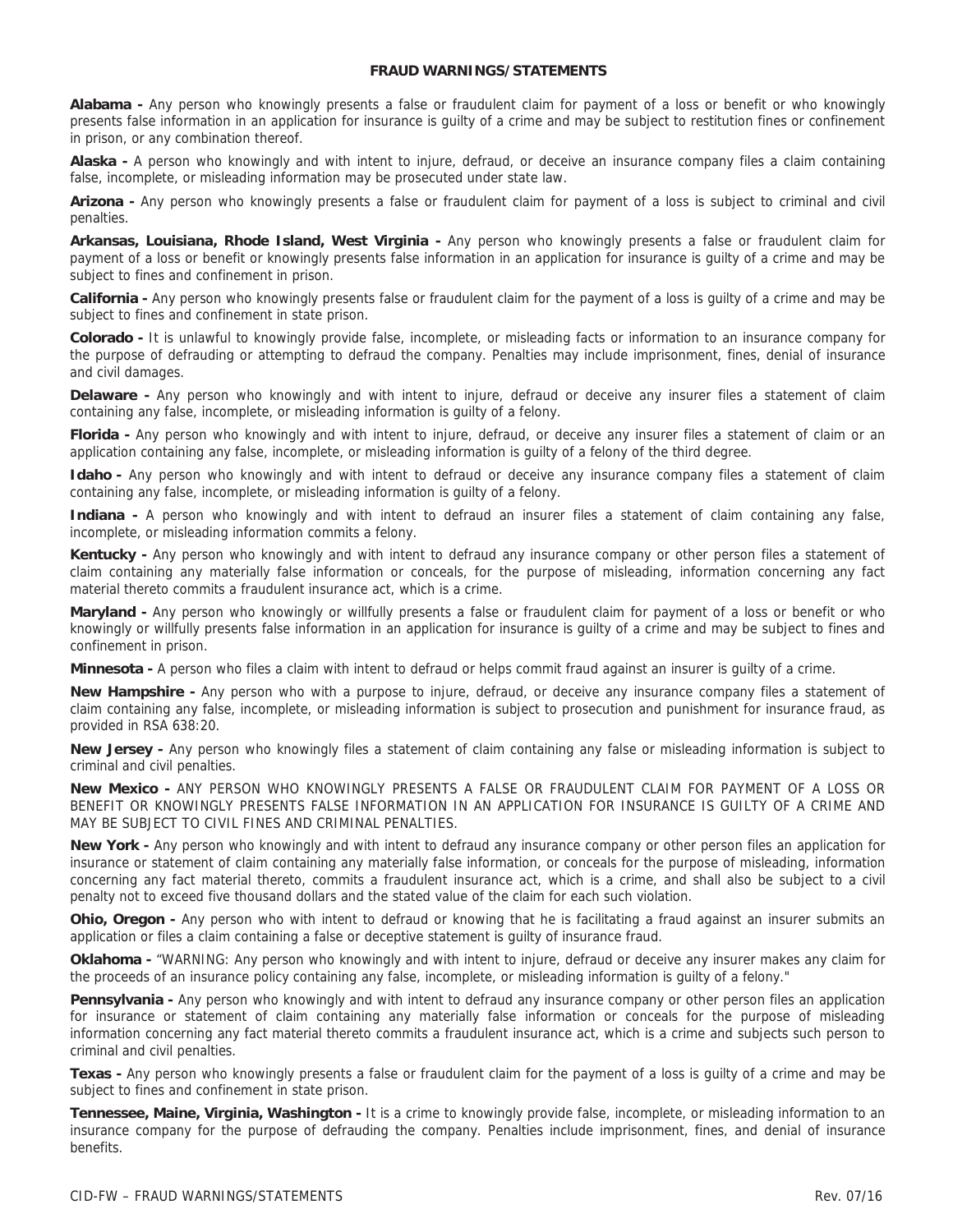#### **FRAUD WARNINGS/STATEMENTS**

**Alabama -** Any person who knowingly presents a false or fraudulent claim for payment of a loss or benefit or who knowingly presents false information in an application for insurance is guilty of a crime and may be subject to restitution fines or confinement in prison, or any combination thereof.

**Alaska -** A person who knowingly and with intent to injure, defraud, or deceive an insurance company files a claim containing false, incomplete, or misleading information may be prosecuted under state law.

**Arizona -** Any person who knowingly presents a false or fraudulent claim for payment of a loss is subject to criminal and civil penalties.

**Arkansas, Louisiana, Rhode Island, West Virginia -** Any person who knowingly presents a false or fraudulent claim for payment of a loss or benefit or knowingly presents false information in an application for insurance is guilty of a crime and may be subject to fines and confinement in prison.

**California -** Any person who knowingly presents false or fraudulent claim for the payment of a loss is guilty of a crime and may be subject to fines and confinement in state prison.

**Colorado -** It is unlawful to knowingly provide false, incomplete, or misleading facts or information to an insurance company for the purpose of defrauding or attempting to defraud the company. Penalties may include imprisonment, fines, denial of insurance and civil damages.

**Delaware -** Any person who knowingly and with intent to injure, defraud or deceive any insurer files a statement of claim containing any false, incomplete, or misleading information is guilty of a felony.

**Florida -** Any person who knowingly and with intent to injure, defraud, or deceive any insurer files a statement of claim or an application containing any false, incomplete, or misleading information is guilty of a felony of the third degree.

**Idaho -** Any person who knowingly and with intent to defraud or deceive any insurance company files a statement of claim containing any false, incomplete, or misleading information is guilty of a felony.

**Indiana -** A person who knowingly and with intent to defraud an insurer files a statement of claim containing any false, incomplete, or misleading information commits a felony.

**Kentucky -** Any person who knowingly and with intent to defraud any insurance company or other person files a statement of claim containing any materially false information or conceals, for the purpose of misleading, information concerning any fact material thereto commits a fraudulent insurance act, which is a crime.

**Maryland -** Any person who knowingly or willfully presents a false or fraudulent claim for payment of a loss or benefit or who knowingly or willfully presents false information in an application for insurance is guilty of a crime and may be subject to fines and confinement in prison.

**Minnesota -** A person who files a claim with intent to defraud or helps commit fraud against an insurer is guilty of a crime.

**New Hampshire -** Any person who with a purpose to injure, defraud, or deceive any insurance company files a statement of claim containing any false, incomplete, or misleading information is subject to prosecution and punishment for insurance fraud, as provided in RSA 638:20.

**New Jersey -** Any person who knowingly files a statement of claim containing any false or misleading information is subject to criminal and civil penalties.

**New Mexico -** ANY PERSON WHO KNOWINGLY PRESENTS A FALSE OR FRAUDULENT CLAIM FOR PAYMENT OF A LOSS OR BENEFIT OR KNOWINGLY PRESENTS FALSE INFORMATION IN AN APPLICATION FOR INSURANCE IS GUILTY OF A CRIME AND MAY BE SUBJECT TO CIVIL FINES AND CRIMINAL PENALTIES.

**New York -** Any person who knowingly and with intent to defraud any insurance company or other person files an application for insurance or statement of claim containing any materially false information, or conceals for the purpose of misleading, information concerning any fact material thereto, commits a fraudulent insurance act, which is a crime, and shall also be subject to a civil penalty not to exceed five thousand dollars and the stated value of the claim for each such violation.

**Ohio, Oregon -** Any person who with intent to defraud or knowing that he is facilitating a fraud against an insurer submits an application or files a claim containing a false or deceptive statement is guilty of insurance fraud.

**Oklahoma -** "WARNING: Any person who knowingly and with intent to injure, defraud or deceive any insurer makes any claim for the proceeds of an insurance policy containing any false, incomplete, or misleading information is guilty of a felony."

**Pennsylvania -** Any person who knowingly and with intent to defraud any insurance company or other person files an application for insurance or statement of claim containing any materially false information or conceals for the purpose of misleading information concerning any fact material thereto commits a fraudulent insurance act, which is a crime and subjects such person to criminal and civil penalties.

**Texas -** Any person who knowingly presents a false or fraudulent claim for the payment of a loss is guilty of a crime and may be subject to fines and confinement in state prison.

**Tennessee, Maine, Virginia, Washington -** It is a crime to knowingly provide false, incomplete, or misleading information to an insurance company for the purpose of defrauding the company. Penalties include imprisonment, fines, and denial of insurance benefits.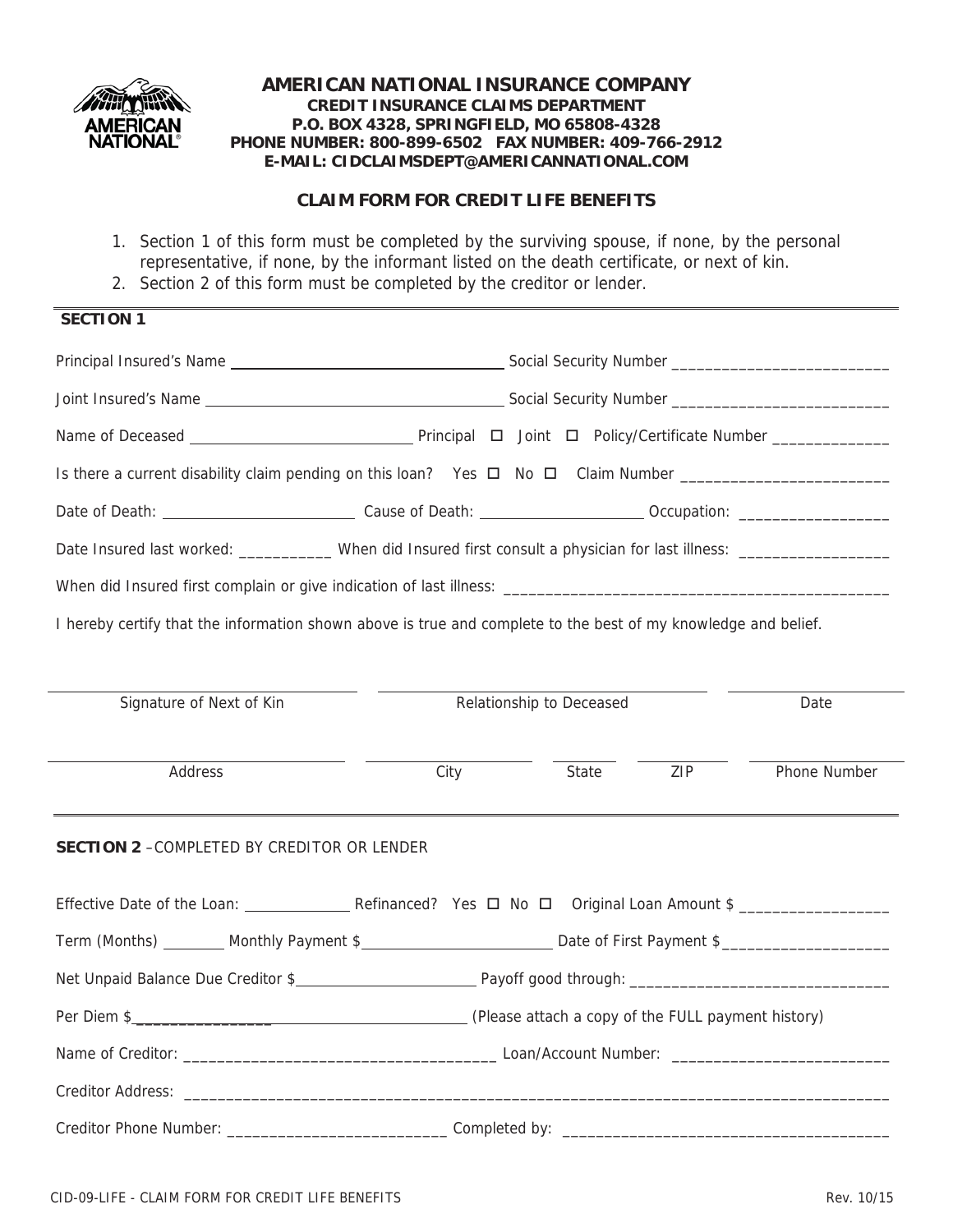

## **CLAIM FORM FOR CREDIT LIFE BENEFITS**

- 1. Section 1 of this form must be completed by the surviving spouse, if none, by the personal representative, if none, by the informant listed on the death certificate, or next of kin.
- 2. Section 2 of this form must be completed by the creditor or lender.

# **SECTION 1**

| Is there a current disability claim pending on this loan? Yes $\Box$ No $\Box$ Claim Number                    |                          |       |      |              |  |
|----------------------------------------------------------------------------------------------------------------|--------------------------|-------|------|--------------|--|
|                                                                                                                |                          |       |      |              |  |
| Date Insured last worked: __________ When did Insured first consult a physician for last illness: ____________ |                          |       |      |              |  |
|                                                                                                                |                          |       |      |              |  |
| I hereby certify that the information shown above is true and complete to the best of my knowledge and belief. |                          |       |      |              |  |
|                                                                                                                |                          |       |      |              |  |
| Signature of Next of Kin                                                                                       | Relationship to Deceased |       | Date |              |  |
| Address                                                                                                        | City                     | State | ZIP  | Phone Number |  |
| <b>SECTION 2 - COMPLETED BY CREDITOR OR LENDER</b>                                                             |                          |       |      |              |  |
|                                                                                                                |                          |       |      |              |  |
|                                                                                                                |                          |       |      |              |  |
|                                                                                                                |                          |       |      |              |  |
|                                                                                                                |                          |       |      |              |  |
|                                                                                                                |                          |       |      |              |  |
| Creditor Address:                                                                                              |                          |       |      |              |  |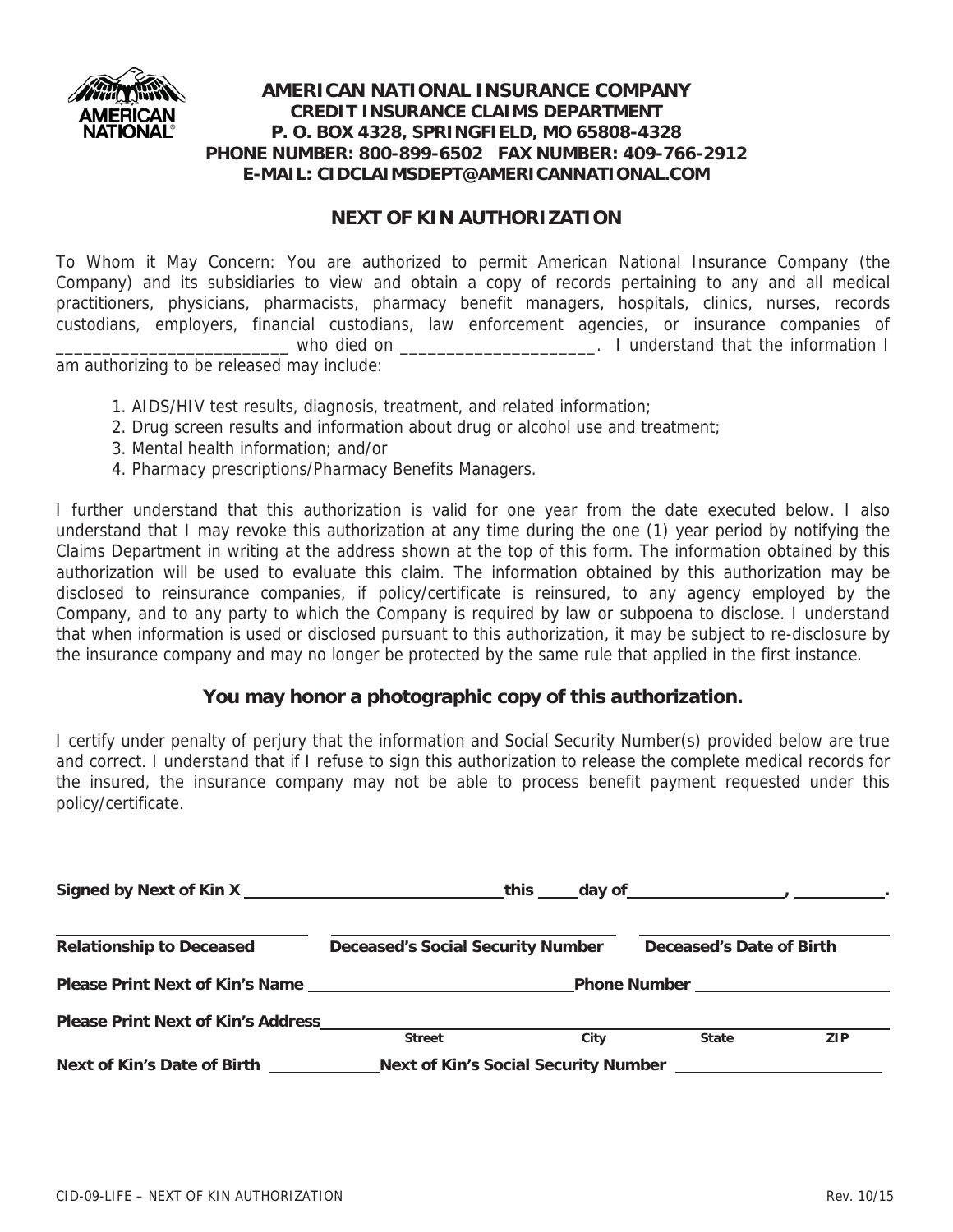

## **NEXT OF KIN AUTHORIZATION**

To Whom it May Concern: You are authorized to permit American National Insurance Company (the Company) and its subsidiaries to view and obtain a copy of records pertaining to any and all medical practitioners, physicians, pharmacists, pharmacy benefit managers, hospitals, clinics, nurses, records custodians, employers, financial custodians, law enforcement agencies, or insurance companies of who died on the second on the information I understand that the information I am authorizing to be released may include:

- 1. AIDS/HIV test results, diagnosis, treatment, and related information;
- 2. Drug screen results and information about drug or alcohol use and treatment;
- 3. Mental health information; and/or
- 4. Pharmacy prescriptions/Pharmacy Benefits Managers.

I further understand that this authorization is valid for one year from the date executed below. I also understand that I may revoke this authorization at any time during the one (1) year period by notifying the Claims Department in writing at the address shown at the top of this form. The information obtained by this authorization will be used to evaluate this claim. The information obtained by this authorization may be disclosed to reinsurance companies, if policy/certificate is reinsured, to any agency employed by the Company, and to any party to which the Company is required by law or subpoena to disclose. I understand that when information is used or disclosed pursuant to this authorization, it may be subject to re-disclosure by the insurance company and may no longer be protected by the same rule that applied in the first instance.

## **You may honor a photographic copy of this authorization.**

I certify under penalty of perjury that the information and Social Security Number(s) provided below are true and correct. I understand that if I refuse to sign this authorization to release the complete medical records for the insured, the insurance company may not be able to process benefit payment requested under this policy/certificate.

|                                           | Signed by Next of Kin X Network and Signed by Next of Kin X Network and Signed Signed by Next of Kin X Network |                          |            |
|-------------------------------------------|----------------------------------------------------------------------------------------------------------------|--------------------------|------------|
| <b>Relationship to Deceased</b>           | <b>Deceased's Social Security Number</b>                                                                       | Deceased's Date of Birth |            |
|                                           |                                                                                                                |                          |            |
| <b>Please Print Next of Kin's Address</b> | <b>Street</b><br>City                                                                                          | <b>State</b>             | <b>ZIP</b> |
| Next of Kin's Date of Birth               |                                                                                                                |                          |            |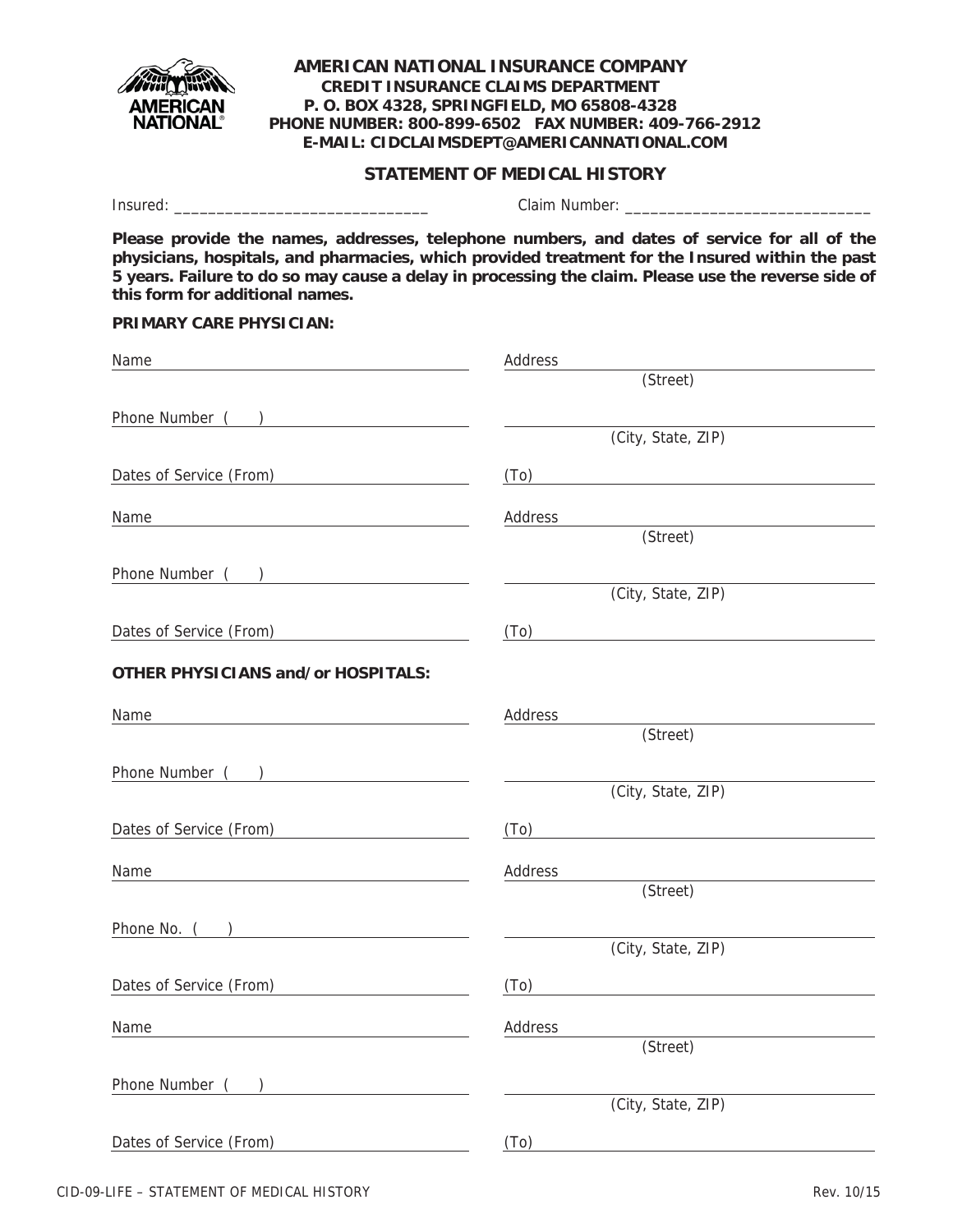

### **STATEMENT OF MEDICAL HISTORY**

Insured: \_\_\_\_\_\_\_\_\_\_\_\_\_\_\_\_\_\_\_\_\_\_\_\_\_\_\_\_\_\_ Claim Number: \_\_\_\_\_\_\_\_\_\_\_\_\_\_\_\_\_\_\_\_\_\_\_\_\_\_\_\_\_

**Please provide the names, addresses, telephone numbers, and dates of service for all of the physicians, hospitals, and pharmacies, which provided treatment for the Insured within the past 5 years. Failure to do so may cause a delay in processing the claim. Please use the reverse side of this form for additional names.**

**PRIMARY CARE PHYSICIAN:**

| Name                                                   | Address                                               |
|--------------------------------------------------------|-------------------------------------------------------|
|                                                        | (Street)                                              |
| Phone Number ( )                                       |                                                       |
|                                                        | (City, State, ZIP)                                    |
| Dates of Service (From) 2001 2002 2012 2022 2023       | (To)<br><u> 1989 - Andrea Andrew Maria (h. 1989).</u> |
|                                                        | Address                                               |
|                                                        | (Street)                                              |
| Phone Number ( )                                       |                                                       |
|                                                        | (City, State, ZIP)                                    |
| Dates of Service (From)                                |                                                       |
| <b>OTHER PHYSICIANS and/or HOSPITALS:</b>              |                                                       |
|                                                        |                                                       |
| Name                                                   | Address<br>(Street)                                   |
|                                                        |                                                       |
|                                                        | (City, State, ZIP)                                    |
| Dates of Service (From)                                | $(To)$ and $To$                                       |
| Name                                                   | Address                                               |
|                                                        | (Street)                                              |
|                                                        | $\frac{1}{2}$ and $\frac{1}{2}$                       |
|                                                        | (City, State, ZIP)                                    |
| Dates of Service (From) <u>_______________________</u> | (T <sub>0</sub> )                                     |
| Name                                                   | Address                                               |
|                                                        | (Street)                                              |
| Phone Number ( )                                       |                                                       |
|                                                        | (City, State, ZIP)                                    |
| Dates of Service (From)                                | (T <sub>0</sub> )                                     |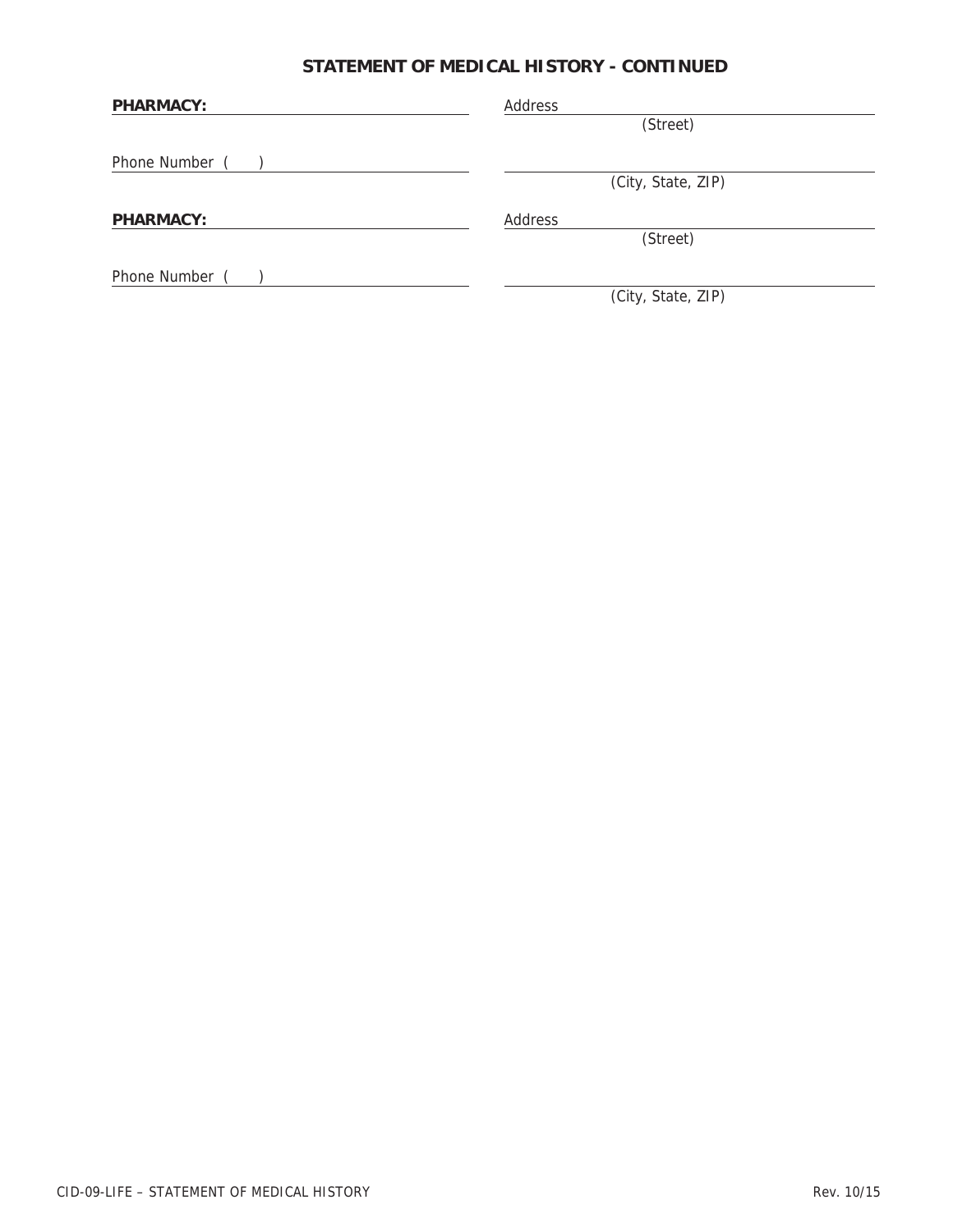# **STATEMENT OF MEDICAL HISTORY - CONTINUED**

| <b>PHARMACY:</b> | Address            |  |  |
|------------------|--------------------|--|--|
|                  | (Street)           |  |  |
| Phone Number     |                    |  |  |
|                  | (City, State, ZIP) |  |  |
| <b>PHARMACY:</b> | Address            |  |  |
|                  | (Street)           |  |  |
| Phone Number     |                    |  |  |
|                  | (City, State, ZIP) |  |  |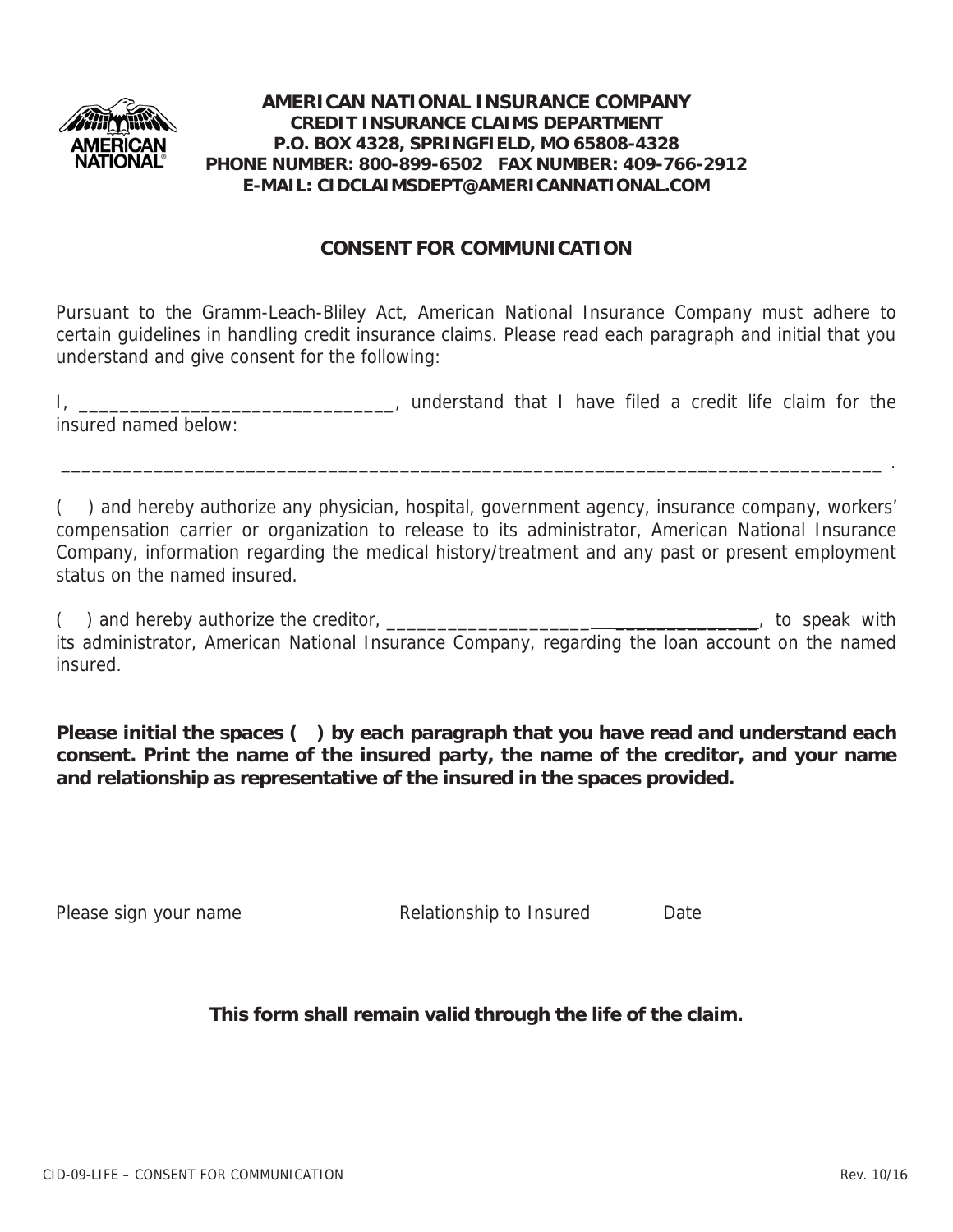

# **CONSENT FOR COMMUNICATION**

Pursuant to the Gramm-Leach-Bliley Act, American National Insurance Company must adhere to certain guidelines in handling credit insurance claims. Please read each paragraph and initial that you understand and give consent for the following:

I, \_\_\_\_\_\_\_\_\_\_\_\_\_\_\_\_\_\_\_\_\_\_\_\_\_\_\_\_\_\_\_\_\_, understand that I have filed a credit life claim for the insured named below:

\_\_\_\_\_\_\_\_\_\_\_\_\_\_\_\_\_\_\_\_\_\_\_\_\_\_\_\_\_\_\_\_\_\_\_\_\_\_\_\_\_\_\_\_\_\_\_\_\_\_\_\_\_\_\_\_\_\_\_\_\_\_\_\_\_\_\_\_\_\_\_\_\_\_\_\_\_\_\_\_ .

( ) and hereby authorize any physician, hospital, government agency, insurance company, workers' compensation carrier or organization to release to its administrator, American National Insurance Company, information regarding the medical history/treatment and any past or present employment status on the named insured.

(a) and hereby authorize the creditor, the contract of the contract of the speak with  $\sim$  , to speak with its administrator, American National Insurance Company, regarding the loan account on the named insured.

**Please initial the spaces ( ) by each paragraph that you have read and understand each consent. Print the name of the insured party, the name of the creditor, and your name and relationship as representative of the insured in the spaces provided.**

Please sign your name The Relationship to Insured Date

**This form shall remain valid through the life of the claim.**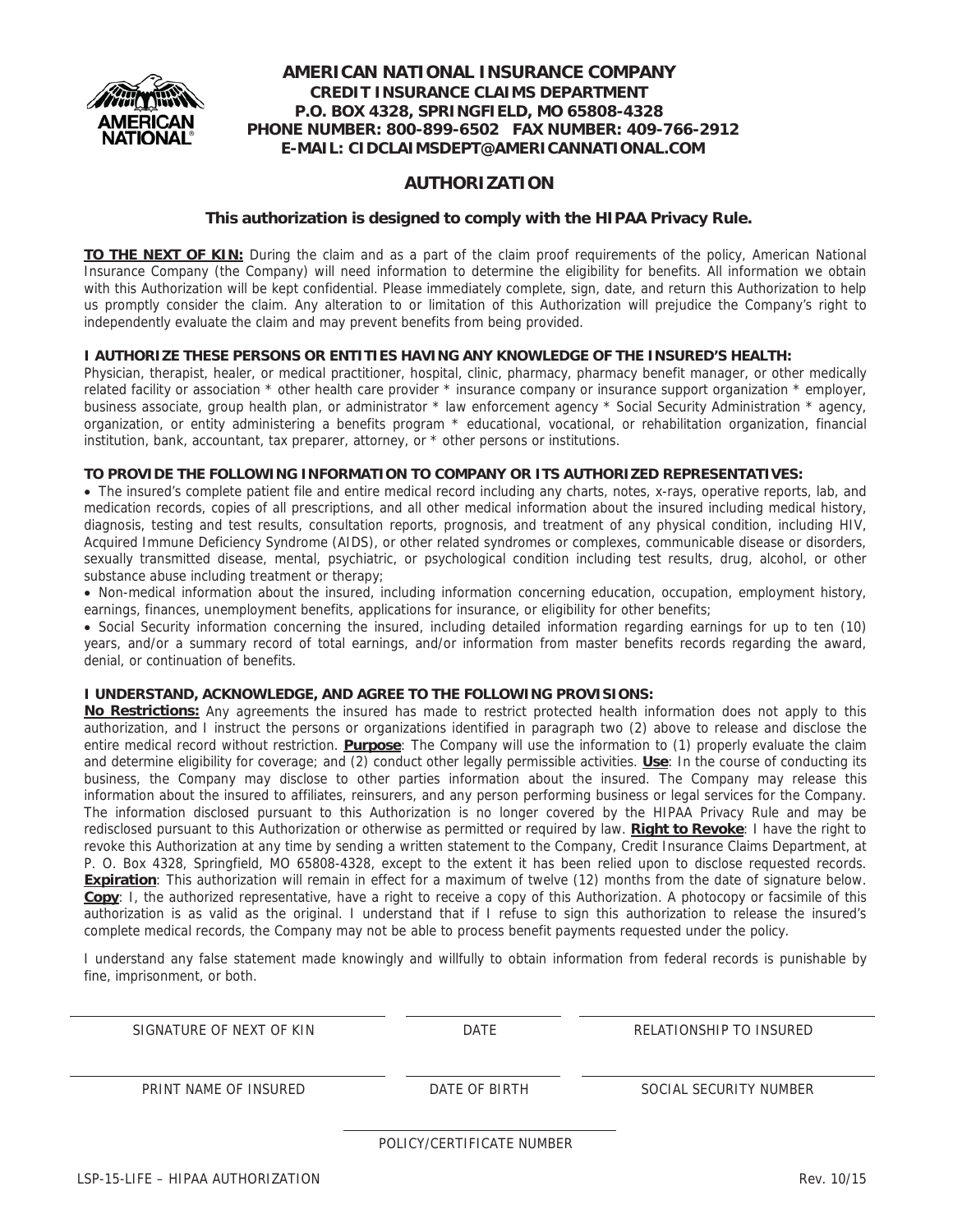

### **AUTHORIZATION**

#### **This authorization is designed to comply with the HIPAA Privacy Rule.**

**TO THE NEXT OF KIN:** During the claim and as a part of the claim proof requirements of the policy, American National Insurance Company (the Company) will need information to determine the eligibility for benefits. All information we obtain with this Authorization will be kept confidential. Please immediately complete, sign, date, and return this Authorization to help us promptly consider the claim. Any alteration to or limitation of this Authorization will prejudice the Company's right to independently evaluate the claim and may prevent benefits from being provided.

#### **I AUTHORIZE THESE PERSONS OR ENTITIES HAVING ANY KNOWLEDGE OF THE INSURED'S HEALTH:**

Physician, therapist, healer, or medical practitioner, hospital, clinic, pharmacy, pharmacy benefit manager, or other medically related facility or association \* other health care provider \* insurance company or insurance support organization \* employer, business associate, group health plan, or administrator \* law enforcement agency \* Social Security Administration \* agency, organization, or entity administering a benefits program \* educational, vocational, or rehabilitation organization, financial institution, bank, accountant, tax preparer, attorney, or \* other persons or institutions.

#### **TO PROVIDE THE FOLLOWING INFORMATION TO COMPANY OR ITS AUTHORIZED REPRESENTATIVES:**

• The insured's complete patient file and entire medical record including any charts, notes, x-rays, operative reports, lab, and medication records, copies of all prescriptions, and all other medical information about the insured including medical history, diagnosis, testing and test results, consultation reports, prognosis, and treatment of any physical condition, including HIV, Acquired Immune Deficiency Syndrome (AIDS), or other related syndromes or complexes, communicable disease or disorders, sexually transmitted disease, mental, psychiatric, or psychological condition including test results, drug, alcohol, or other substance abuse including treatment or therapy;

• Non-medical information about the insured, including information concerning education, occupation, employment history, earnings, finances, unemployment benefits, applications for insurance, or eligibility for other benefits;

x Social Security information concerning the insured, including detailed information regarding earnings for up to ten (10) years, and/or a summary record of total earnings, and/or information from master benefits records regarding the award, denial, or continuation of benefits.

#### **I UNDERSTAND, ACKNOWLEDGE, AND AGREE TO THE FOLLOWING PROVISIONS:**

**No Restrictions:** Any agreements the insured has made to restrict protected health information does not apply to this authorization, and I instruct the persons or organizations identified in paragraph two (2) above to release and disclose the entire medical record without restriction. **Purpose**: The Company will use the information to (1) properly evaluate the claim and determine eligibility for coverage; and (2) conduct other legally permissible activities. **Use**: In the course of conducting its business, the Company may disclose to other parties information about the insured. The Company may release this information about the insured to affiliates, reinsurers, and any person performing business or legal services for the Company. The information disclosed pursuant to this Authorization is no longer covered by the HIPAA Privacy Rule and may be redisclosed pursuant to this Authorization or otherwise as permitted or required by law. **Right to Revoke**: I have the right to revoke this Authorization at any time by sending a written statement to the Company, Credit Insurance Claims Department, at P. O. Box 4328, Springfield, MO 65808-4328, except to the extent it has been relied upon to disclose requested records. **Expiration**: This authorization will remain in effect for a maximum of twelve (12) months from the date of signature below. **Copy**: I, the authorized representative, have a right to receive a copy of this Authorization. A photocopy or facsimile of this authorization is as valid as the original. I understand that if I refuse to sign this authorization to release the insured's complete medical records, the Company may not be able to process benefit payments requested under the policy.

I understand any false statement made knowingly and willfully to obtain information from federal records is punishable by fine, imprisonment, or both.

| SIGNATURE OF NEXT OF KIN | DATE                      | RELATIONSHIP TO INSURED |
|--------------------------|---------------------------|-------------------------|
| PRINT NAME OF INSURED    | DATE OF BIRTH             | SOCIAL SECURITY NUMBER  |
|                          | POLICY/CERTIFICATE NUMBER |                         |